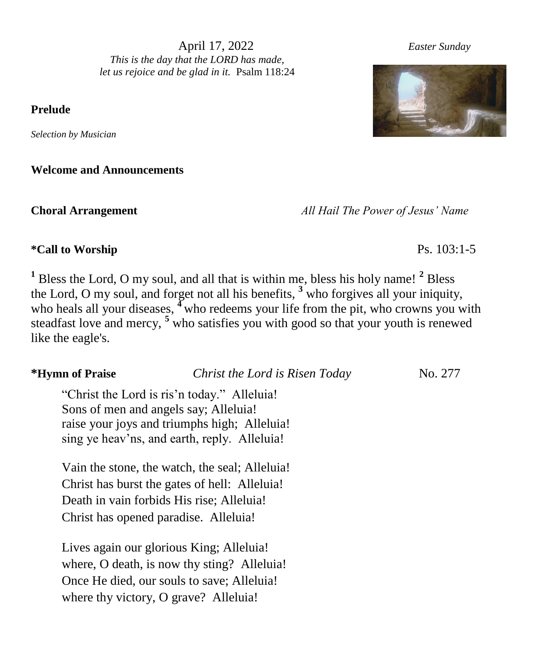April 17, 2022 *Easter Sunday This is the day that the LORD has made, let us rejoice and be glad in it.* Psalm 118:24

**Prelude** 

*Selection by Musician*

**Welcome and Announcements**

**Choral Arrangement** *All Hail The Power of Jesus' Name*

## **\*Call to Worship** Ps. 103:1-5

**<sup>1</sup>** Bless the Lord, O my soul, and all that is within me, bless his holy name! **<sup>2</sup>** Bless the Lord, O my soul, and forget not all his benefits, **<sup>3</sup>** who forgives all your iniquity, who heals all your diseases, <sup>4</sup> who redeems your life from the pit, who crowns you with steadfast love and mercy, **<sup>5</sup>** who satisfies you with good so that your youth is renewed like the eagle's.

**\*Hymn of Praise** *Christ the Lord is Risen Today* No. 277

"Christ the Lord is ris'n today." Alleluia! Sons of men and angels say; Alleluia! raise your joys and triumphs high; Alleluia! sing ye heav'ns, and earth, reply. Alleluia!

Vain the stone, the watch, the seal; Alleluia! Christ has burst the gates of hell: Alleluia! Death in vain forbids His rise; Alleluia! Christ has opened paradise. Alleluia!

Lives again our glorious King; Alleluia! where, O death, is now thy sting? Alleluia! Once He died, our souls to save; Alleluia! where thy victory, O grave? Alleluia!

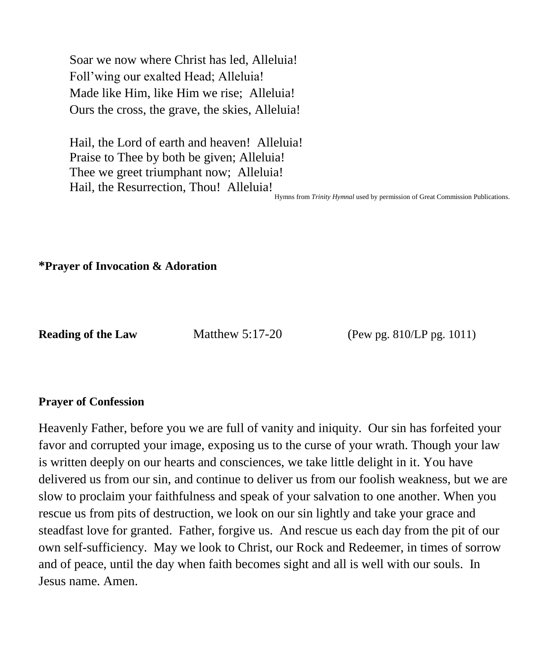Soar we now where Christ has led, Alleluia! Foll'wing our exalted Head; Alleluia! Made like Him, like Him we rise; Alleluia! Ours the cross, the grave, the skies, Alleluia!

Hail, the Lord of earth and heaven! Alleluia! Praise to Thee by both be given; Alleluia! Thee we greet triumphant now; Alleluia! Hail, the Resurrection, Thou! Alleluia!

Hymns from *Trinity Hymnal* used by permission of Great Commission Publications.

**\*Prayer of Invocation & Adoration**

**Reading of the Law Matthew 5:17-20 (Pew pg. 810/LP pg. 1011)** 

### **Prayer of Confession**

Heavenly Father, before you we are full of vanity and iniquity. Our sin has forfeited your favor and corrupted your image, exposing us to the curse of your wrath. Though your law is written deeply on our hearts and consciences, we take little delight in it. You have delivered us from our sin, and continue to deliver us from our foolish weakness, but we are slow to proclaim your faithfulness and speak of your salvation to one another. When you rescue us from pits of destruction, we look on our sin lightly and take your grace and steadfast love for granted. Father, forgive us. And rescue us each day from the pit of our own self-sufficiency. May we look to Christ, our Rock and Redeemer, in times of sorrow and of peace, until the day when faith becomes sight and all is well with our souls. In Jesus name. Amen.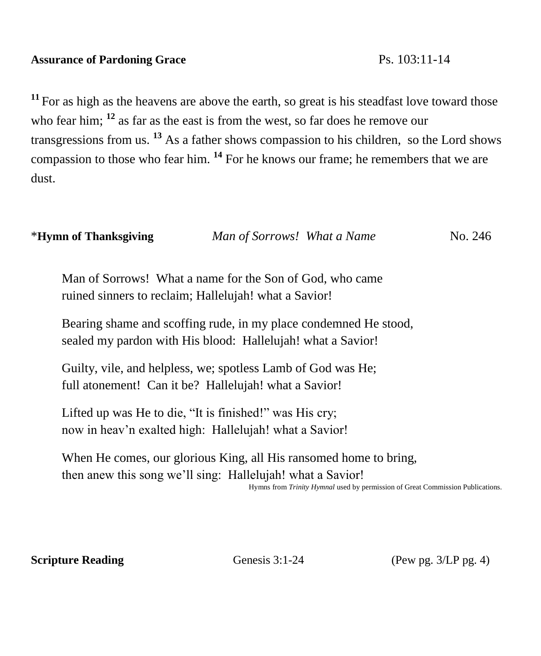## **Assurance of Pardoning Grace** Ps. 103:11-14

<sup>11</sup> For as high as the heavens are above the earth, so great is his steadfast love toward those who fear him; <sup>12</sup> as far as the east is from the west, so far does he remove our transgressions from us. **<sup>13</sup>** As a father shows compassion to his children, so the Lord shows compassion to those who fear him. **<sup>14</sup>** For he knows our frame; he remembers that we are dust.

| *Hymn of Thanksgiving | Man of Sorrows! What a Name | No. 246 |
|-----------------------|-----------------------------|---------|
|-----------------------|-----------------------------|---------|

Man of Sorrows! What a name for the Son of God, who came ruined sinners to reclaim; Hallelujah! what a Savior!

Bearing shame and scoffing rude, in my place condemned He stood, sealed my pardon with His blood: Hallelujah! what a Savior!

Guilty, vile, and helpless, we; spotless Lamb of God was He; full atonement! Can it be? Hallelujah! what a Savior!

Lifted up was He to die, "It is finished!" was His cry; now in heav'n exalted high: Hallelujah! what a Savior!

When He comes, our glorious King, all His ransomed home to bring, then anew this song we'll sing: Hallelujah! what a Savior!

Hymns from *Trinity Hymnal* used by permission of Great Commission Publications. 

**Scripture Reading** Genesis 3:1-24 (Pew pg. 3/LP pg. 4)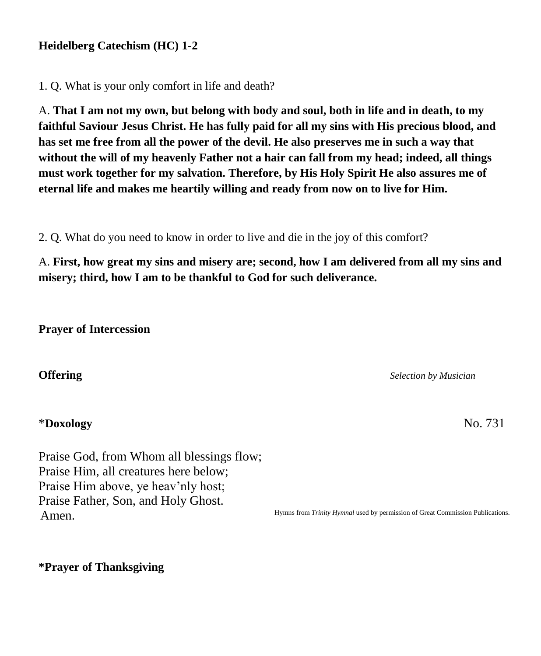### **Heidelberg Catechism (HC) 1-2**

1. Q. What is your only comfort in life and death?

A. **That I am not my own, but belong with body and soul, both in life and in death, to my faithful Saviour Jesus Christ. He has fully paid for all my sins with His precious blood, and has set me free from all the power of the devil. He also preserves me in such a way that without the will of my heavenly Father not a hair can fall from my head; indeed, all things must work together for my salvation. Therefore, by His Holy Spirit He also assures me of eternal life and makes me heartily willing and ready from now on to live for Him.**

2. Q. What do you need to know in order to live and die in the joy of this comfort?

A. **First, how great my sins and misery are; second, how I am delivered from all my sins and misery; third, how I am to be thankful to God for such deliverance.**

**Prayer of Intercession**

### \***Doxology** No. 731

Praise God, from Whom all blessings flow; Praise Him, all creatures here below; Praise Him above, ye heav'nly host; Praise Father, Son, and Holy Ghost. Amen.

**Offering** *Selection by Musician* 

Hymns from *Trinity Hymnal* used by permission of Great Commission Publications.

**\*Prayer of Thanksgiving**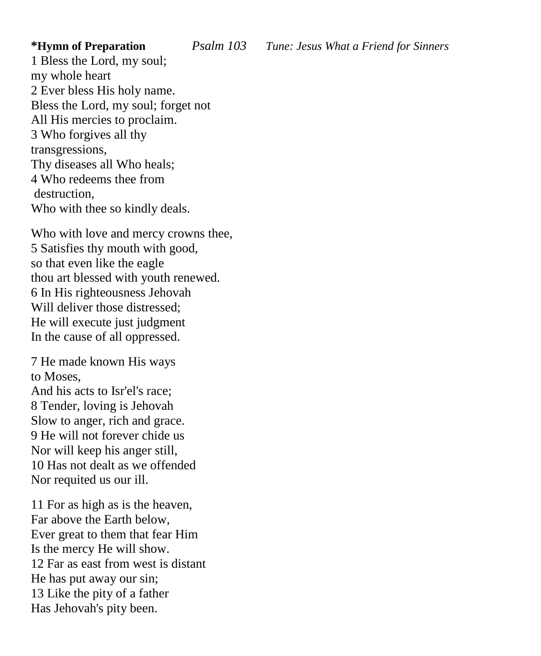1 Bless the Lord, my soul; my whole heart 2 Ever bless His holy name. Bless the Lord, my soul; forget not All His mercies to proclaim. 3 Who forgives all thy transgressions, Thy diseases all Who heals; 4 Who redeems thee from destruction, Who with thee so kindly deals.

Who with love and mercy crowns thee, 5 Satisfies thy mouth with good, so that even like the eagle thou art blessed with youth renewed. 6 In His righteousness Jehovah Will deliver those distressed; He will execute just judgment In the cause of all oppressed.

7 He made known His ways to Moses,

And his acts to Isr'el's race; 8 Tender, loving is Jehovah Slow to anger, rich and grace. 9 He will not forever chide us Nor will keep his anger still, 10 Has not dealt as we offended Nor requited us our ill.

11 For as high as is the heaven, Far above the Earth below, Ever great to them that fear Him Is the mercy He will show. 12 Far as east from west is distant He has put away our sin; 13 Like the pity of a father Has Jehovah's pity been.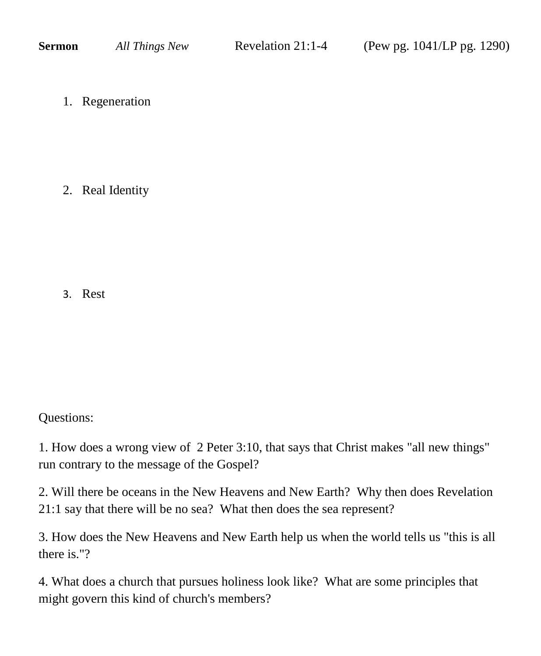1. Regeneration

2. Real Identity

3. Rest

Questions:

1. How does a wrong view of 2 Peter 3:10, that says that Christ makes "all new things" run contrary to the message of the Gospel?

2. Will there be oceans in the New Heavens and New Earth? Why then does Revelation 21:1 say that there will be no sea? What then does the sea represent?

3. How does the New Heavens and New Earth help us when the world tells us "this is all there is."?

4. What does a church that pursues holiness look like? What are some principles that might govern this kind of church's members?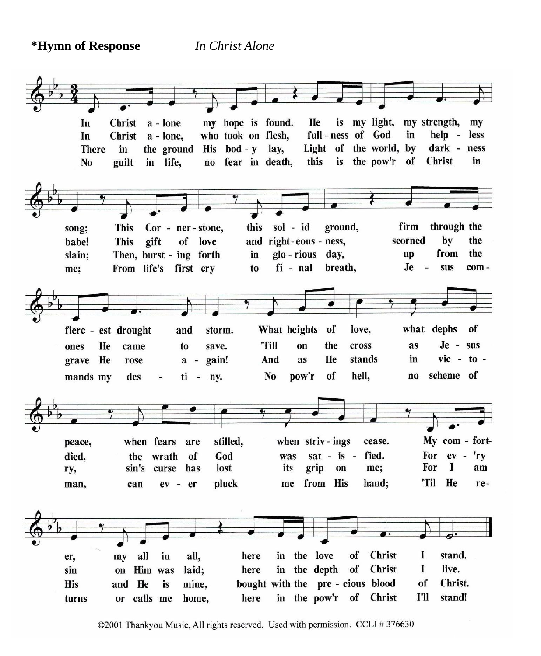**\*Hymn of Response** *In Christ Alone*

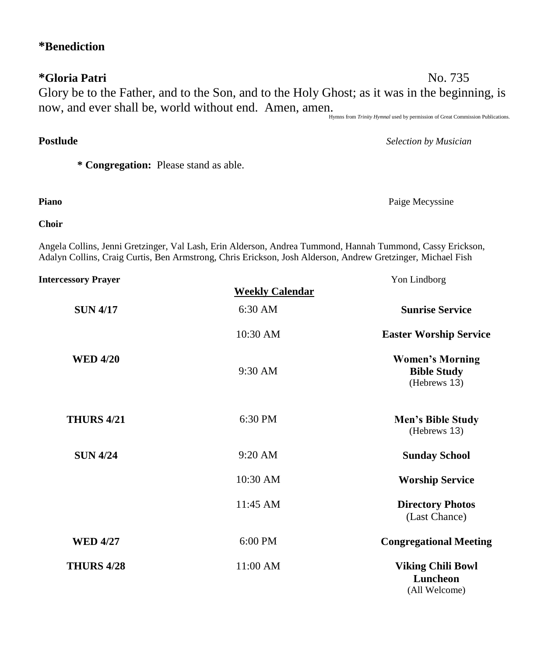# **\*Gloria Patri** No. 735 Glory be to the Father, and to the Son, and to the Holy Ghost; as it was in the beginning, is now, and ever shall be, world without end. Amen, amen.

Hymns from *Trinity Hymnal* used by permission of Great Commission Publications.

**\* Congregation:** Please stand as able.

**Choir**

Angela Collins, Jenni Gretzinger, Val Lash, Erin Alderson, Andrea Tummond, Hannah Tummond, Cassy Erickson, Adalyn Collins, Craig Curtis, Ben Armstrong, Chris Erickson, Josh Alderson, Andrew Gretzinger, Michael Fish

**Postlude** *Selection by Musician*

| <b>Intercessory Prayer</b> |                        | Yon Lindborg                                                 |  |
|----------------------------|------------------------|--------------------------------------------------------------|--|
|                            | <b>Weekly Calendar</b> |                                                              |  |
| <b>SUN 4/17</b>            | $6:30$ AM              | <b>Sunrise Service</b>                                       |  |
|                            | $10:30$ AM             | <b>Easter Worship Service</b>                                |  |
| <b>WED 4/20</b>            | 9:30 AM                | <b>Women's Morning</b><br><b>Bible Study</b><br>(Hebrews 13) |  |
| <b>THURS 4/21</b>          | 6:30 PM                | Men's Bible Study<br>(Hebrews 13)                            |  |
| <b>SUN 4/24</b>            | $9:20$ AM              | <b>Sunday School</b>                                         |  |
|                            | 10:30 AM               | <b>Worship Service</b>                                       |  |
|                            | $11:45$ AM             | <b>Directory Photos</b><br>(Last Chance)                     |  |
| <b>WED 4/27</b>            | 6:00 PM                | <b>Congregational Meeting</b>                                |  |
| <b>THURS 4/28</b>          | 11:00 AM               | <b>Viking Chili Bowl</b><br>Luncheon<br>(All Welcome)        |  |

### **\*Benediction**

**Piano** Paige Mecyssine